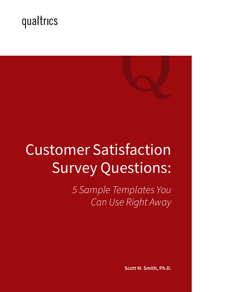

# Customer Satisfaction Survey Questions:

*5 Sample Templates You Can Use Right Away*

**Scott M. Smith, Ph.D.**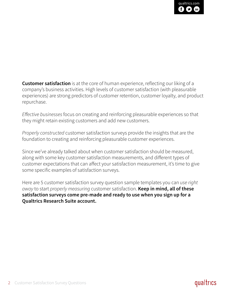[qualtrics.com](http://www.qualtrics.com/)

**Customer satisfaction** is at the core of human experience, reflecting our liking of a company's business activities. High levels of customer satisfaction (with pleasurable experiences) are strong predictors of customer retention, customer loyalty, and product repurchase.

*Effective businesses* focus on creating and reinforcing pleasurable experiences so that they might retain existing customers and add new customers.

*Properly constructed* customer satisfaction surveys provide the insights that are the foundation to creating and reinforcing pleasurable customer experiences.

Since we've already talked about when customer satisfaction should be measured, along with some key customer satisfaction measurements, and different types of customer expectations that can affect your satisfaction measurement, it's time to give some specific examples of satisfaction surveys.

Here are 5 customer satisfaction survey question sample templates you can *use right away* to start *properly measuring* customer satisfaction. **Keep in mind, all of these satisfaction surveys come pre-made and ready to use when you sign up for a Qualtrics Research Suite account.**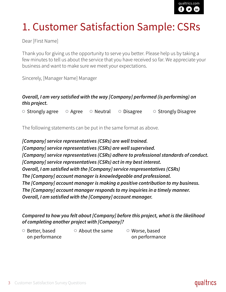# 1. Customer Satisfaction Sample: CSRs

Dear [First Name]

Thank you for giving us the opportunity to serve you better. Please help us by taking a few minutes to tell us about the service that you have received so far. We appreciate your business and want to make sure we meet your expectations.

Sincerely, [Manager Name] Manager

#### *Overall, I am very satisfied with the way [Company] performed (is performing) on this project.*

 $\circ$  Strongly agree  $\circ$  Agree  $\circ$  Neutral  $\circ$  Disagree  $\circ$  Strongly Disagree

The following statements can be put in the same format as above.

*[Company] service representatives (CSRs) are well trained. [Company] service representatives (CSRs) are well supervised. [Company] service representatives (CSRs) adhere to professional standards of conduct. [Company] service representatives (CSRs) act in my best interest. Overall, I am satisfied with the [Company] service respresentatives (CSRs) The [Company] account manager is knowledgeable and professional. The [Company] account manager is making a positive contribution to my business. The [Company] account manager responds to my inquiries in a timely manner. Overall, I am satisfied with the [Company] account manager.*

#### *Compared to how you felt about [Company] before this project, what is the likelihood of completing another project with [Company]?*

 $\circ$  Better, based on performance  $\circ$  About the same

Worse, based on performance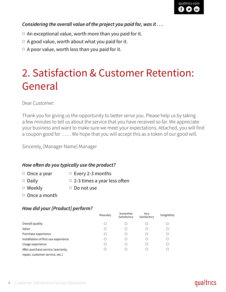#### *Considering the overall value of the project you paid for, was it . . .*

- $\circ$  An exceptional value, worth more than you paid for it.
- $\circ$  A good value, worth about what you paid for it.
- $\circ$  A poor value, worth less than you paid for it.

# 2. Satisfaction & Customer Retention: General

Dear Customer:

Thank you for giving us the opportunity to better serve you. Please help us by taking a few minutes to tell us about the service that you have received so far. We appreciate your business and want to make sure we meet your expectations. Attached, you will find a coupon good for …… We hope that you will accept this as a token of our good will.

Sincerely, [Manager Name] Manager

#### *How often do you typically use the product?*

- $\circ$  Once a year  $\circ$  Every 2-3 months
- $\circ$  Daily  $\circ$  2-3 times a year less often
- Weekly **Do not use**
- $\circ$  Once a month

#### *How did your [Product] perform?*

|                                      | Miserably | Somewhat<br>Satisfactory | Verv<br>Satisfactory | Delightfully |
|--------------------------------------|-----------|--------------------------|----------------------|--------------|
| Overall quality                      | O         |                          |                      |              |
| Value                                | C         |                          |                      |              |
| Purchase experience                  | O         |                          |                      |              |
| Installation of first use experience |           |                          |                      |              |
| Usage experience                     | O         |                          |                      |              |
| After purchase service (warranty,    | O         |                          |                      |              |
| repair, customer service, etc.)      |           |                          |                      |              |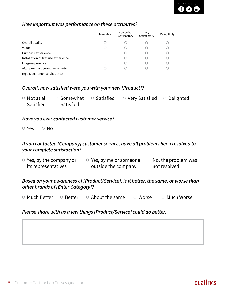#### *How important was performance on these attributes?*

|                                      | Miserably | Somewhat<br>Satisfactory | Very<br>Satisfactory | Delightfully |
|--------------------------------------|-----------|--------------------------|----------------------|--------------|
| Overall quality                      | C         |                          |                      |              |
| Value                                | С.        |                          |                      |              |
| Purchase experience                  | С         |                          |                      |              |
| Installation of first use experience | C         |                          |                      |              |
| Usage experience                     | C         |                          |                      |              |
| After purchase service (warranty,    |           |                          |                      |              |
| repair, customer service, etc.)      |           |                          |                      |              |

#### *Overall, how satisfied were you with your new [Product]?*

|           |           | $\circ$ Not at all $\circ$ Somewhat $\circ$ Satisfied $\circ$ Very Satisfied $\circ$ Delighted |  |
|-----------|-----------|------------------------------------------------------------------------------------------------|--|
| Satisfied | Satisfied |                                                                                                |  |

#### *Have you ever contacted customer service?*

Yes © No

#### *If you contacted [Company] customer service, have all problems been resolved to your complete satisfaction?*

| $\circ$ Yes, by the company or | $\circ$ Yes, by me or someone | $\circ$ No, the problem was |
|--------------------------------|-------------------------------|-----------------------------|
| its representatives            | outside the company           | not resolved                |

#### *Based on your awareness of [Product/Service], is it better, the same, or worse than other brands of [Enter Category]?*

 $\circ$  Much Better  $\circ$  Better  $\circ$  About the same  $\circ$  Worse  $\circ$  Much Worse

#### *Please share with us a few things [Product/Service] could do better.*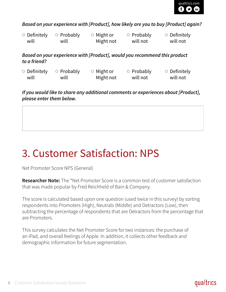

*Based on your experience with [Product], how likely are you to buy [Product] again?*

| $\circ$ Definitely | $\circ$ Probably | $\circ$ Might or | $\circ$ Probably | $\circ$ Definitely |
|--------------------|------------------|------------------|------------------|--------------------|
| will               | will             | Might not        | will not         | will not           |

*Based on your experience with [Product], would you recommend this product to a friend?*

| $\circ$ Definitely | $\circ$ Probably | $\circ$ Might or | $\circ$ Probably | $\circ$ Definitely |
|--------------------|------------------|------------------|------------------|--------------------|
| will               | will             | Might not        | will not         | will not           |

*If you would like to share any additional comments or experiences about [Product], please enter them below.*

# 3. Customer Satisfaction: NPS

Net Promoter Score NPS (General)

**Researcher Note:** The \*Net Promoter Score is a common test of customer satisfaction that was made popular by Fred Reichheld of Bain & Company.

The score is calculated based upon one question (used twice in this survey) by sorting respondents into Promoters (High), Neutrals (Middle) and Detractors (Low), then subtracting the percentage of respondents that are Detractors from the percentage that are Promoters.

This survey calculates the Net Promoter Score for two instances: the purchase of an iPad, and overall feelings of Apple. In addition, it collects other feedback and demographic information for future segmentation.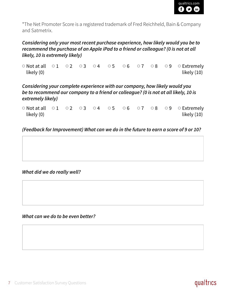\*The Net Promoter Score is a registered trademark of Fred Reichheld, Bain & Company and Satmetrix.

#### *Considering only your most recent purchase experience, how likely would you be to recommend the purchase of an Apple iPad to a friend or colleague? (0 is not at all likely, 10 is extremely likely)*

Not at all  $\circ 1$   $\circ 2$   $\circ 3$   $\circ 4$   $\circ 5$   $\circ 6$   $\circ 7$   $\circ 8$   $\circ 9$   $\circ$  Extremely likely (0) likely (10)

#### *Considering your complete experience with our company, how likely would you be to recommend our company to a friend or colleague? (0 is not at all likely, 10 is extremely likely)*

Not at all  $\circ 1$   $\circ 2$   $\circ 3$   $\circ 4$   $\circ 5$   $\circ 6$   $\circ 7$   $\circ 8$   $\circ 9$   $\circ$  Extremely likely (0) likely (10)

*(Feedback for Improvement) What can we do in the future to earn a score of 9 or 10?*

#### *What did we do really well?*

#### *What can we do to be even better?*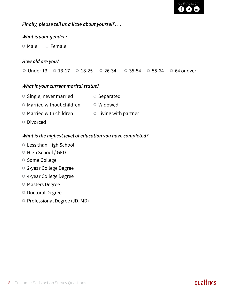

#### *Finally, please tell us a little about yourself . . .*

#### *What is your gender?*

 $\circ$  Male  $\circ$  Female

#### *How old are you?*

 $\circ$  Under 13  $\circ$  13-17  $\circ$  18-25  $\circ$  26-34  $\circ$  35-54  $\circ$  55-64  $\circ$  64 or over

#### *What is your current marital status?*

- $\circ$  Single, never married  $\circ$  Separated
- $\circ$  Married without children  $\circ$  Widowed
- $\circ$  Married with children  $\circ$  Living with partner
- Divorced

#### *What is the highest level of education you have completed?*

- Less than High School
- O High School / GED
- Some College
- 2-year College Degree
- 4-year College Degree
- Masters Degree
- Doctoral Degree
- Professional Degree (JD, MD)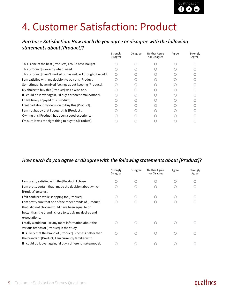# 4. Customer Satisfaction: Product

#### *Purchase Satisfaction: How much do you agree or disagree with the following statements about [Product]?*

| Strongly<br>Disagree | <b>Disagree</b> | Neither Agree<br>nor Disagree | Agree | Strongly<br>Agree |
|----------------------|-----------------|-------------------------------|-------|-------------------|
|                      |                 |                               |       |                   |
|                      |                 |                               |       |                   |
|                      |                 |                               |       |                   |
|                      |                 |                               |       |                   |
|                      |                 |                               |       |                   |
|                      |                 |                               |       |                   |
|                      |                 |                               |       |                   |
|                      |                 |                               |       |                   |
|                      |                 |                               |       |                   |
|                      |                 |                               |       |                   |
|                      |                 |                               |       |                   |
|                      |                 |                               |       |                   |
|                      |                 |                               |       |                   |

#### *How much do you agree or disagree with the following statements about [Product]?*

|                                                                 | Strongly<br>Disagree | Disagree | Neither Agree<br>nor Disagree | Agree | Strongly<br>Agree |
|-----------------------------------------------------------------|----------------------|----------|-------------------------------|-------|-------------------|
| I am pretty satisfied with the [Product] I chose.               |                      |          |                               |       |                   |
| I am pretty certain that I made the decision about which        |                      |          |                               |       |                   |
| [Product] to select.                                            |                      |          |                               |       |                   |
| I felt confused while shopping for [Product].                   |                      |          |                               |       |                   |
| I am pretty sure that one of the other brands of [Product]      |                      |          |                               |       |                   |
| that I did not choose would have been equal to or               |                      |          |                               |       |                   |
| better than the brand I chose to satisfy my desires and         |                      |          |                               |       |                   |
| expectations.                                                   |                      |          |                               |       |                   |
| I really would not like any more information about the          |                      |          |                               |       |                   |
| various brands of [Product] in the study.                       |                      |          |                               |       |                   |
| It is likely that the brand of [Product] I chose is better than |                      |          |                               |       |                   |
| the brands of [Product] I am currently familiar with.           |                      |          |                               |       |                   |
| If I could do it over again, I'd buy a different make/model.    |                      |          |                               |       |                   |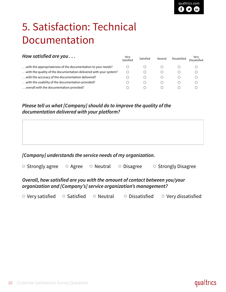# 5. Satisfaction: Technical Documentation

| Verv<br>Satisfied | Satisfied | Neutral | Dissatisfied | Verv<br>Dissatisfied |
|-------------------|-----------|---------|--------------|----------------------|
|                   |           |         |              |                      |
|                   |           |         |              |                      |
|                   |           |         |              |                      |
|                   |           |         |              |                      |
|                   |           |         |              |                      |
|                   |           |         |              |                      |

#### *Please tell us what [Company] should do to improve the quality of the documentation delivered with your platform?*

#### *[Company] understands the service needs of my organization.*

| $\circ$ Strongly agree | $\circ$ Agree | $\circ$ Neutral $\circ$ Disagree | ○ Strongly Disagree |
|------------------------|---------------|----------------------------------|---------------------|
|                        |               |                                  |                     |

#### *Overall, how satisfied are you with the amount of contact between you/your organization and [Company's] service organization's management?*

 $\circ$  Very satisfied  $\circ$  Satisfied  $\circ$  Neutral  $\circ$  Dissatisfied  $\circ$  Very dissatisfied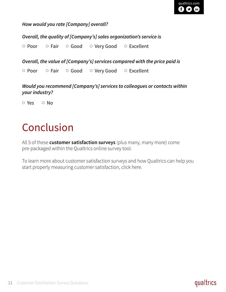*How would you rate [Company] overall?*

*Overall, the quality of [Company's] sales organization's service is*

O Poor O Fair O Good O Very Good O Excellent

*Overall, the value of [Company's] services compared with the price paid is*

O Poor O Fair O Good O Very Good O Excellent

*Would you recommend [Company's] services to colleagues or contacts within your industry?*

 $OYes$  O No

# Conclusion

All 5 of these **customer satisfaction surveys** (plus many, many more) come pre-packaged within the Qualtrics online survey tool.

To learn more about customer satisfaction surveys and how Qualtrics can help you start properly measuring customer satisfaction, click here.